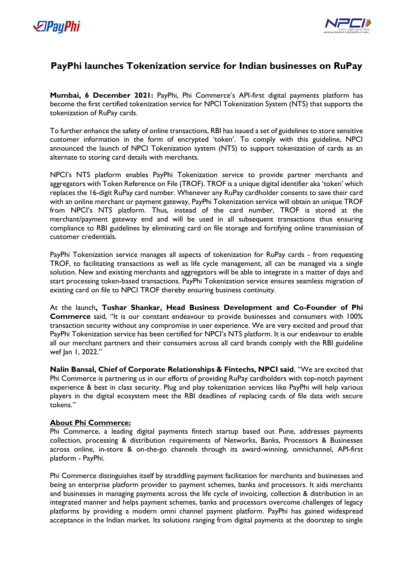



## **PayPhi launches Tokenization service for Indian businesses on RuPay**

**Mumbai, 6 December 2021:** PayPhi, Phi Commerce's API-first digital payments platform has become the first certified tokenization service for NPCI Tokenization System (NTS) that supports the tokenization of RuPay cards.

To further enhance the safety of online transactions, RBI has issued a set of guidelines to store sensitive customer information in the form of encrypted 'token'. To comply with this guideline, NPCI announced the launch of NPCI Tokenization system (NTS) to support tokenization of cards as an alternate to storing card details with merchants.

NPCI's NTS platform enables PayPhi Tokenization service to provide partner merchants and aggregators with Token Reference on File (TROF). TROF is a unique digital identifier aka 'token' which replaces the 16-digit RuPay card number. Whenever any RuPay cardholder consents to save their card with an online merchant or payment gateway, PayPhi Tokenization service will obtain an unique TROF from NPCI's NTS platform. Thus, instead of the card number, TROF is stored at the merchant/payment gateway end and will be used in all subsequent transactions thus ensuring compliance to RBI guidelines by eliminating card on file storage and fortifying online transmission of customer credentials.

PayPhi Tokenization service manages all aspects of tokenization for RuPay cards - from requesting TROF, to facilitating transactions as well as life cycle management, all can be managed via a single solution. New and existing merchants and aggregators will be able to integrate in a matter of days and start processing token-based transactions. PayPhi Tokenization service ensures seamless migration of existing card on file to NPCI TROF thereby ensuring business continuity.

At the launch**, Tushar Shankar, Head Business Development and Co-Founder of Phi Commerce** said, "It is our constant endeavour to provide businesses and consumers with 100% transaction security without any compromise in user experience. We are very excited and proud that PayPhi Tokenization service has been certified for NPCI's NTS platform. It is our endeavour to enable all our merchant partners and their consumers across all card brands comply with the RBI guideline wef Jan 1, 2022."

**Nalin Bansal, Chief of Corporate Relationships & Fintechs, NPCI said**, "We are excited that Phi Commerce is partnering us in our efforts of providing RuPay cardholders with top-notch payment experience & best in class security. Plug and play tokenization services like PayPhi will help various players in the digital ecosystem meet the RBI deadlines of replacing cards of file data with secure tokens."

## **About Phi Commerce:**

Phi Commerce, a leading digital payments fintech startup based out Pune, addresses payments collection, processing & distribution requirements of Networks, Banks, Processors & Businesses across online, in-store & on-the-go channels through its award-winning, omnichannel, API-first platform - PayPhi.

Phi Commerce distinguishes itself by straddling payment facilitation for merchants and businesses and being an enterprise platform provider to payment schemes, banks and processors. It aids merchants and businesses in managing payments across the life cycle of invoicing, collection & distribution in an integrated manner and helps payment schemes, banks and processors overcome challenges of legacy platforms by providing a modern omni channel payment platform. PayPhi has gained widespread acceptance in the Indian market. Its solutions ranging from digital payments at the doorstep to single